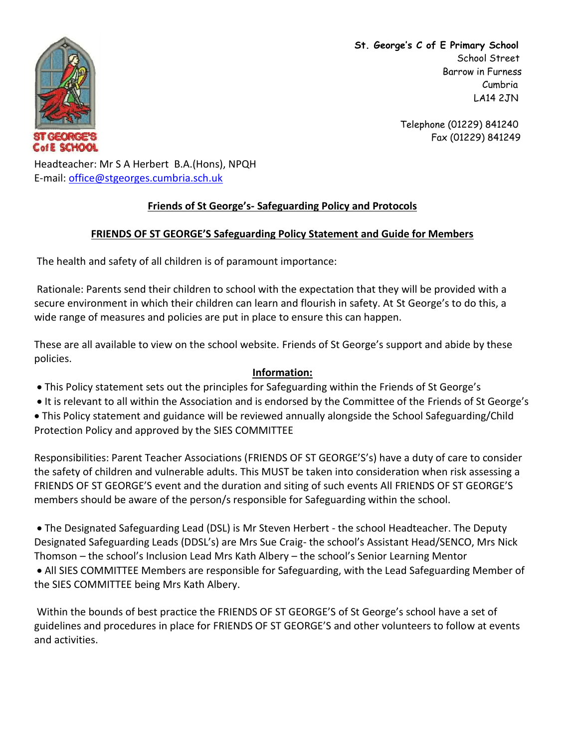

**St. George's C of E Primary School** School Street Barrow in Furness Cumbria LA14 2JN

> Telephone (01229) 841240 Fax (01229) 841249

Headteacher: Mr S A Herbert B.A.(Hons), NPQH E-mail: [office@stgeorges.cumbria.sch.uk](mailto:office@stgeorges.cumbria.sch.uk)

## **Friends of St George's- Safeguarding Policy and Protocols**

## **FRIENDS OF ST GEORGE'S Safeguarding Policy Statement and Guide for Members**

The health and safety of all children is of paramount importance:

Rationale: Parents send their children to school with the expectation that they will be provided with a secure environment in which their children can learn and flourish in safety. At St George's to do this, a wide range of measures and policies are put in place to ensure this can happen.

These are all available to view on the school website. Friends of St George's support and abide by these policies.

## **Information:**

- This Policy statement sets out the principles for Safeguarding within the Friends of St George's
- It is relevant to all within the Association and is endorsed by the Committee of the Friends of St George's
- This Policy statement and guidance will be reviewed annually alongside the School Safeguarding/Child Protection Policy and approved by the SIES COMMITTEE

Responsibilities: Parent Teacher Associations (FRIENDS OF ST GEORGE'S's) have a duty of care to consider the safety of children and vulnerable adults. This MUST be taken into consideration when risk assessing a FRIENDS OF ST GEORGE'S event and the duration and siting of such events All FRIENDS OF ST GEORGE'S members should be aware of the person/s responsible for Safeguarding within the school.

 The Designated Safeguarding Lead (DSL) is Mr Steven Herbert - the school Headteacher. The Deputy Designated Safeguarding Leads (DDSL's) are Mrs Sue Craig- the school's Assistant Head/SENCO, Mrs Nick Thomson – the school's Inclusion Lead Mrs Kath Albery – the school's Senior Learning Mentor All SIES COMMITTEE Members are responsible for Safeguarding, with the Lead Safeguarding Member of the SIES COMMITTEE being Mrs Kath Albery.

Within the bounds of best practice the FRIENDS OF ST GEORGE'S of St George's school have a set of guidelines and procedures in place for FRIENDS OF ST GEORGE'S and other volunteers to follow at events and activities.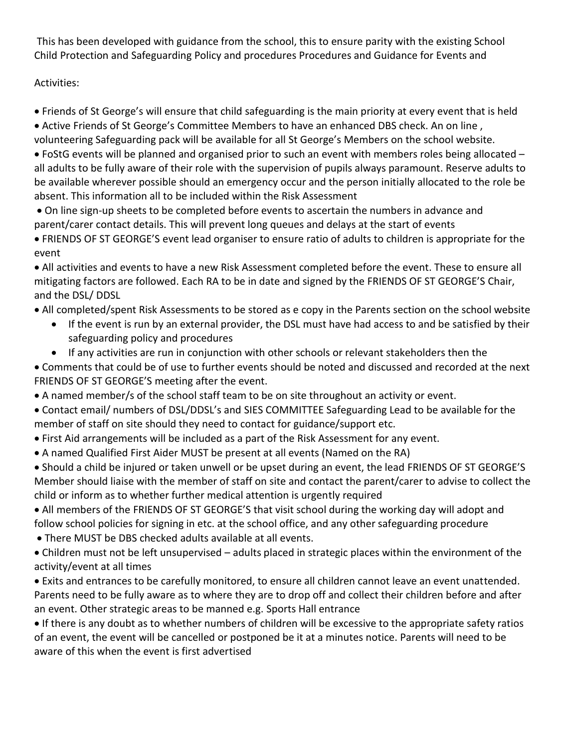This has been developed with guidance from the school, this to ensure parity with the existing School Child Protection and Safeguarding Policy and procedures Procedures and Guidance for Events and

## Activities:

Friends of St George's will ensure that child safeguarding is the main priority at every event that is held

Active Friends of St George's Committee Members to have an enhanced DBS check. An on line ,

volunteering Safeguarding pack will be available for all St George's Members on the school website.

 FoStG events will be planned and organised prior to such an event with members roles being allocated – all adults to be fully aware of their role with the supervision of pupils always paramount. Reserve adults to be available wherever possible should an emergency occur and the person initially allocated to the role be absent. This information all to be included within the Risk Assessment

 On line sign-up sheets to be completed before events to ascertain the numbers in advance and parent/carer contact details. This will prevent long queues and delays at the start of events

 FRIENDS OF ST GEORGE'S event lead organiser to ensure ratio of adults to children is appropriate for the event

 All activities and events to have a new Risk Assessment completed before the event. These to ensure all mitigating factors are followed. Each RA to be in date and signed by the FRIENDS OF ST GEORGE'S Chair, and the DSL/ DDSL

All completed/spent Risk Assessments to be stored as e copy in the Parents section on the school website

- If the event is run by an external provider, the DSL must have had access to and be satisfied by their safeguarding policy and procedures
- If any activities are run in conjunction with other schools or relevant stakeholders then the

 Comments that could be of use to further events should be noted and discussed and recorded at the next FRIENDS OF ST GEORGE'S meeting after the event.

A named member/s of the school staff team to be on site throughout an activity or event.

 Contact email/ numbers of DSL/DDSL's and SIES COMMITTEE Safeguarding Lead to be available for the member of staff on site should they need to contact for guidance/support etc.

- First Aid arrangements will be included as a part of the Risk Assessment for any event.
- A named Qualified First Aider MUST be present at all events (Named on the RA)

 Should a child be injured or taken unwell or be upset during an event, the lead FRIENDS OF ST GEORGE'S Member should liaise with the member of staff on site and contact the parent/carer to advise to collect the child or inform as to whether further medical attention is urgently required

 All members of the FRIENDS OF ST GEORGE'S that visit school during the working day will adopt and follow school policies for signing in etc. at the school office, and any other safeguarding procedure

There MUST be DBS checked adults available at all events.

 Children must not be left unsupervised – adults placed in strategic places within the environment of the activity/event at all times

 Exits and entrances to be carefully monitored, to ensure all children cannot leave an event unattended. Parents need to be fully aware as to where they are to drop off and collect their children before and after an event. Other strategic areas to be manned e.g. Sports Hall entrance

 If there is any doubt as to whether numbers of children will be excessive to the appropriate safety ratios of an event, the event will be cancelled or postponed be it at a minutes notice. Parents will need to be aware of this when the event is first advertised